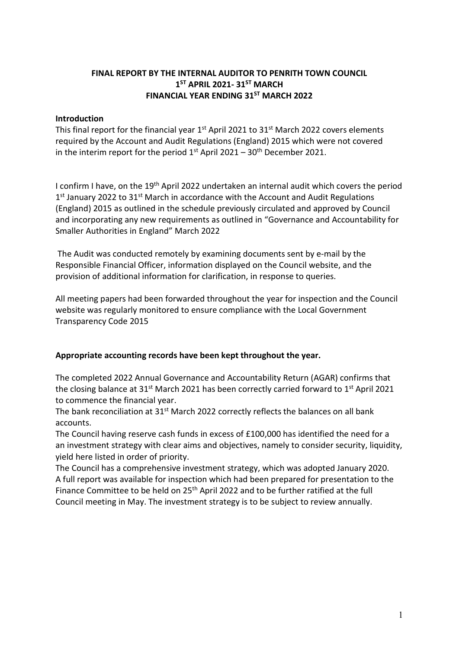# FINAL REPORT BY THE INTERNAL AUDITOR TO PENRITH TOWN COUNCIL  $1<sup>ST</sup>$  APRIL 2021- 31<sup>ST</sup> MARCH FINANCIAL YEAR ENDING 31<sup>ST</sup> MARCH 2022

#### Introduction

This final report for the financial year  $1<sup>st</sup>$  April 2021 to 31 $<sup>st</sup>$  March 2022 covers elements</sup> required by the Account and Audit Regulations (England) 2015 which were not covered in the interim report for the period  $1<sup>st</sup>$  April 2021 – 30<sup>th</sup> December 2021.

I confirm I have, on the 19th April 2022 undertaken an internal audit which covers the period 1<sup>st</sup> January 2022 to 31<sup>st</sup> March in accordance with the Account and Audit Regulations (England) 2015 as outlined in the schedule previously circulated and approved by Council and incorporating any new requirements as outlined in "Governance and Accountability for Smaller Authorities in England" March 2022

 The Audit was conducted remotely by examining documents sent by e-mail by the Responsible Financial Officer, information displayed on the Council website, and the provision of additional information for clarification, in response to queries.

All meeting papers had been forwarded throughout the year for inspection and the Council website was regularly monitored to ensure compliance with the Local Government Transparency Code 2015

## Appropriate accounting records have been kept throughout the year.

The completed 2022 Annual Governance and Accountability Return (AGAR) confirms that the closing balance at  $31^{st}$  March 2021 has been correctly carried forward to  $1^{st}$  April 2021 to commence the financial year.

The bank reconciliation at 31<sup>st</sup> March 2022 correctly reflects the balances on all bank accounts.

The Council having reserve cash funds in excess of £100,000 has identified the need for a an investment strategy with clear aims and objectives, namely to consider security, liquidity, yield here listed in order of priority.

The Council has a comprehensive investment strategy, which was adopted January 2020. A full report was available for inspection which had been prepared for presentation to the Finance Committee to be held on 25<sup>th</sup> April 2022 and to be further ratified at the full Council meeting in May. The investment strategy is to be subject to review annually.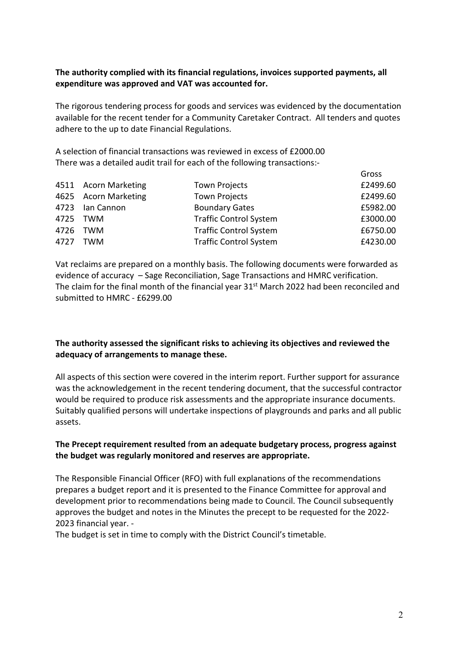#### The authority complied with its financial regulations, invoices supported payments, all expenditure was approved and VAT was accounted for.

The rigorous tendering process for goods and services was evidenced by the documentation available for the recent tender for a Community Caretaker Contract. All tenders and quotes adhere to the up to date Financial Regulations.

A selection of financial transactions was reviewed in excess of £2000.00 There was a detailed audit trail for each of the following transactions:-

|                      |                               | Gross    |
|----------------------|-------------------------------|----------|
| 4511 Acorn Marketing | <b>Town Projects</b>          | £2499.60 |
| 4625 Acorn Marketing | <b>Town Projects</b>          | £2499.60 |
| 4723 Ian Cannon      | <b>Boundary Gates</b>         | £5982.00 |
| 4725 TWM             | <b>Traffic Control System</b> | £3000.00 |
| 4726 TWM             | <b>Traffic Control System</b> | £6750.00 |
| 4727 TWM             | <b>Traffic Control System</b> | £4230.00 |
|                      |                               |          |

Vat reclaims are prepared on a monthly basis. The following documents were forwarded as evidence of accuracy – Sage Reconciliation, Sage Transactions and HMRC verification. The claim for the final month of the financial year  $31<sup>st</sup>$  March 2022 had been reconciled and submitted to HMRC - £6299.00

## The authority assessed the significant risks to achieving its objectives and reviewed the adequacy of arrangements to manage these.

All aspects of this section were covered in the interim report. Further support for assurance was the acknowledgement in the recent tendering document, that the successful contractor would be required to produce risk assessments and the appropriate insurance documents. Suitably qualified persons will undertake inspections of playgrounds and parks and all public assets.

## The Precept requirement resulted from an adequate budgetary process, progress against the budget was regularly monitored and reserves are appropriate.

The Responsible Financial Officer (RFO) with full explanations of the recommendations prepares a budget report and it is presented to the Finance Committee for approval and development prior to recommendations being made to Council. The Council subsequently approves the budget and notes in the Minutes the precept to be requested for the 2022- 2023 financial year. -

The budget is set in time to comply with the District Council's timetable.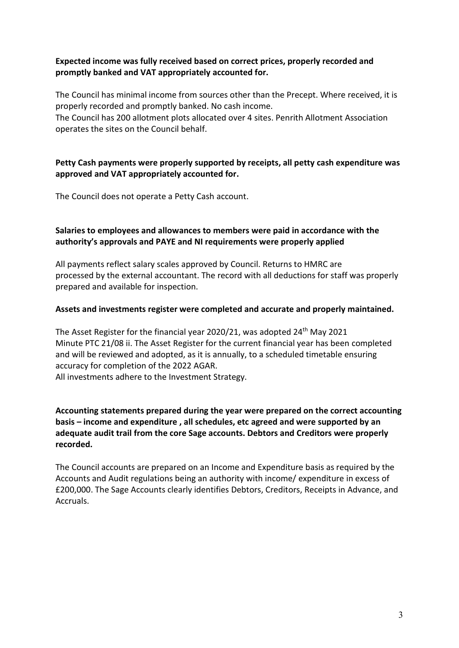## Expected income was fully received based on correct prices, properly recorded and promptly banked and VAT appropriately accounted for.

The Council has minimal income from sources other than the Precept. Where received, it is properly recorded and promptly banked. No cash income.

The Council has 200 allotment plots allocated over 4 sites. Penrith Allotment Association operates the sites on the Council behalf.

# Petty Cash payments were properly supported by receipts, all petty cash expenditure was approved and VAT appropriately accounted for.

The Council does not operate a Petty Cash account.

# Salaries to employees and allowances to members were paid in accordance with the authority's approvals and PAYE and NI requirements were properly applied

All payments reflect salary scales approved by Council. Returns to HMRC are processed by the external accountant. The record with all deductions for staff was properly prepared and available for inspection.

## Assets and investments register were completed and accurate and properly maintained.

The Asset Register for the financial year 2020/21, was adopted 24<sup>th</sup> May 2021 Minute PTC 21/08 ii. The Asset Register for the current financial year has been completed and will be reviewed and adopted, as it is annually, to a scheduled timetable ensuring accuracy for completion of the 2022 AGAR. All investments adhere to the Investment Strategy.

## Accounting statements prepared during the year were prepared on the correct accounting basis – income and expenditure , all schedules, etc agreed and were supported by an adequate audit trail from the core Sage accounts. Debtors and Creditors were properly recorded.

The Council accounts are prepared on an Income and Expenditure basis as required by the Accounts and Audit regulations being an authority with income/ expenditure in excess of £200,000. The Sage Accounts clearly identifies Debtors, Creditors, Receipts in Advance, and Accruals.